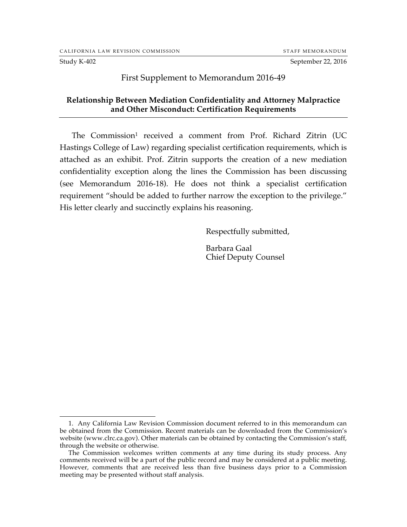Study K-402 September 22, 2016

## First Supplement to Memorandum 2016-49

## **Relationship Between Mediation Confidentiality and Attorney Malpractice and Other Misconduct: Certification Requirements**

The Commission<sup>1</sup> received a comment from Prof. Richard Zitrin (UC Hastings College of Law) regarding specialist certification requirements, which is attached as an exhibit. Prof. Zitrin supports the creation of a new mediation confidentiality exception along the lines the Commission has been discussing (see Memorandum 2016-18). He does not think a specialist certification requirement "should be added to further narrow the exception to the privilege." His letter clearly and succinctly explains his reasoning.

Respectfully submitted,

Barbara Gaal Chief Deputy Counsel

 <sup>1.</sup> Any California Law Revision Commission document referred to in this memorandum can be obtained from the Commission. Recent materials can be downloaded from the Commission's website (www.clrc.ca.gov). Other materials can be obtained by contacting the Commission's staff, through the website or otherwise.

The Commission welcomes written comments at any time during its study process. Any comments received will be a part of the public record and may be considered at a public meeting. However, comments that are received less than five business days prior to a Commission meeting may be presented without staff analysis.